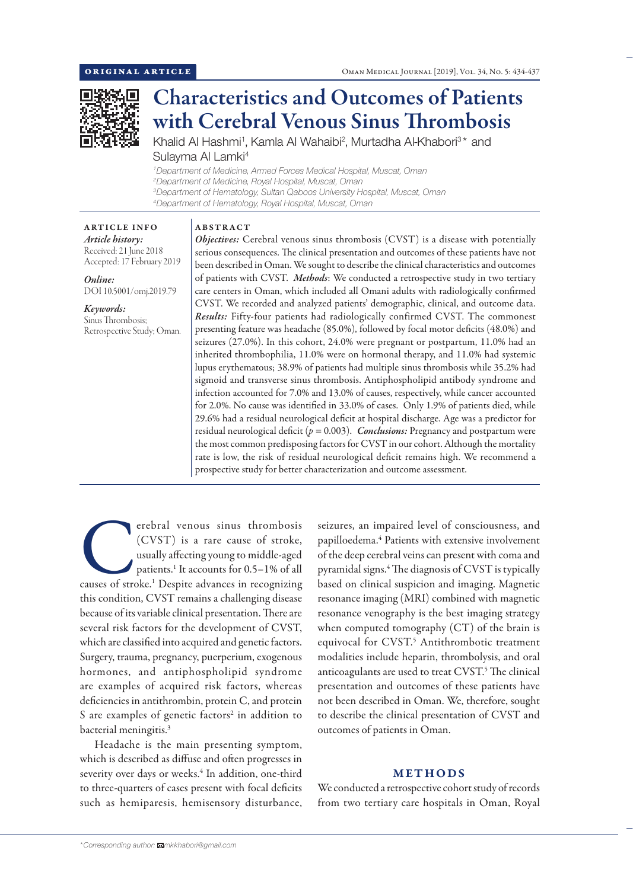

# Characteristics and Outcomes of Patients with Cerebral Venous Sinus Thrombosis

Khalid Al Hashmi<sup>1</sup>, Kamla Al Wahaibi<sup>2</sup>, Murtadha Al-Khabori<sup>3\*</sup> and Sulayma Al Lamki<sup>4</sup>

 *Department of Medicine, Armed Forces Medical Hospital, Muscat, Oman Department of Medicine, Royal Hospital, Muscat, Oman Department of Hematology, Sultan Qaboos University Hospital, Muscat, Oman Department of Hematology, Royal Hospital, Muscat, Oman*

# ABSTRACT

ARTICLE INFO *Article history:* Received: 21 June 2018 Accepted: 17 February 2019

*Online:* DOI 10.5001/omj.2019.79

*Keywords:*  Sinus Thrombosis; Retrospective Study; Oman.

*Objectives:* Cerebral venous sinus thrombosis (CVST) is a disease with potentially serious consequences. The clinical presentation and outcomes of these patients have not been described in Oman. We sought to describe the clinical characteristics and outcomes of patients with CVST. *Methods*: We conducted a retrospective study in two tertiary care centers in Oman, which included all Omani adults with radiologically confirmed CVST. We recorded and analyzed patients' demographic, clinical, and outcome data. *Results:* Fifty-four patients had radiologically confirmed CVST. The commonest presenting feature was headache (85.0%), followed by focal motor deficits (48.0%) and seizures (27.0%). In this cohort, 24.0% were pregnant or postpartum, 11.0% had an inherited thrombophilia, 11.0% were on hormonal therapy, and 11.0% had systemic lupus erythematous; 38.9% of patients had multiple sinus thrombosis while 35.2% had sigmoid and transverse sinus thrombosis. Antiphospholipid antibody syndrome and infection accounted for 7.0% and 13.0% of causes, respectively, while cancer accounted for 2.0%. No cause was identified in 33.0% of cases. Only 1.9% of patients died, while 29.6% had a residual neurological deficit at hospital discharge. Age was a predictor for residual neurological deficit (*p =* 0.003). *Conclusions:* Pregnancy and postpartum were the most common predisposing factors for CVST in our cohort. Although the mortality rate is low, the risk of residual neurological deficit remains high. We recommend a prospective study for better characterization and outcome assessment.

erebral venous sinus thrombosis<br>
(CVST) is a rare cause of stroke,<br>
usually affecting young to middle-aged<br>
patients.<sup>1</sup> It accounts for 0.5–1% of all<br>
causes of stroke.<sup>1</sup> Despite advances in recognizing (CVST) is a rare cause of stroke, usually affecting young to middle-aged patients.1 It accounts for 0.5–1% of all this condition, CVST remains a challenging disease because of its variable clinical presentation. There are several risk factors for the development of CVST, which are classified into acquired and genetic factors. Surgery, trauma, pregnancy, puerperium, exogenous hormones, and antiphospholipid syndrome are examples of acquired risk factors, whereas deficiencies in antithrombin, protein C, and protein S are examples of genetic factors<sup>2</sup> in addition to bacterial meningitis.<sup>3</sup>

Headache is the main presenting symptom, which is described as diffuse and often progresses in severity over days or weeks.<sup>4</sup> In addition, one-third to three-quarters of cases present with focal deficits such as hemiparesis, hemisensory disturbance, seizures, an impaired level of consciousness, and papilloedema.4 Patients with extensive involvement of the deep cerebral veins can present with coma and pyramidal signs.4 The diagnosis of CVST is typically based on clinical suspicion and imaging. Magnetic resonance imaging (MRI) combined with magnetic resonance venography is the best imaging strategy when computed tomography (CT) of the brain is equivocal for CVST. <sup>5</sup> Antithrombotic treatment modalities include heparin, thrombolysis, and oral anticoagulants are used to treat CVST. 5 The clinical presentation and outcomes of these patients have not been described in Oman. We, therefore, sought to describe the clinical presentation of CVST and outcomes of patients in Oman.

# METHODS

We conducted a retrospective cohort study of records from two tertiary care hospitals in Oman, Royal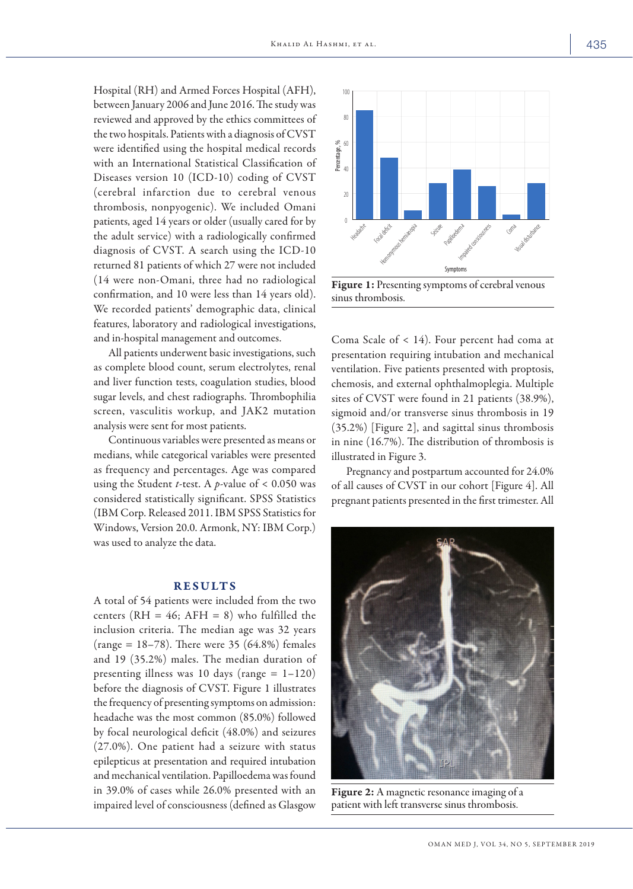Hospital (RH) and Armed Forces Hospital (AFH), between January 2006 and June 2016. The study was reviewed and approved by the ethics committees of the two hospitals. Patients with a diagnosis of CVST were identified using the hospital medical records with an International Statistical Classification of Diseases version 10 (ICD-10) coding of CVST (cerebral infarction due to cerebral venous thrombosis, nonpyogenic). We included Omani patients, aged 14 years or older (usually cared for by the adult service) with a radiologically confirmed diagnosis of CVST. A search using the ICD-10 returned 81 patients of which 27 were not included (14 were non-Omani, three had no radiological confirmation, and 10 were less than 14 years old). We recorded patients' demographic data, clinical features, laboratory and radiological investigations, and in-hospital management and outcomes.

All patients underwent basic investigations, such as complete blood count, serum electrolytes, renal and liver function tests, coagulation studies, blood sugar levels, and chest radiographs. Thrombophilia screen, vasculitis workup, and JAK2 mutation analysis were sent for most patients.

Continuous variables were presented as means or medians, while categorical variables were presented as frequency and percentages. Age was compared using the Student *t*-test. A *p*-value of  $< 0.050$  was considered statistically significant. SPSS Statistics (IBM Corp. Released 2011. IBM SPSS Statistics for Windows, Version 20.0. Armonk, NY: IBM Corp.) was used to analyze the data.

## RESULTS

A total of 54 patients were included from the two centers (RH = 46; AFH = 8) who fulfilled the inclusion criteria. The median age was 32 years (range =  $18-78$ ). There were 35 (64.8%) females and 19 (35.2%) males. The median duration of presenting illness was 10 days (range  $= 1-120$ ) before the diagnosis of CVST. Figure 1 illustrates the frequency of presenting symptoms on admission: headache was the most common (85.0%) followed by focal neurological deficit (48.0%) and seizures (27.0%). One patient had a seizure with status epilepticus at presentation and required intubation and mechanical ventilation. Papilloedema was found in 39.0% of cases while 26.0% presented with an impaired level of consciousness (defined as Glasgow



Figure 1: Presenting symptoms of cerebral venous sinus thrombosis.

Coma Scale of < 14). Four percent had coma at presentation requiring intubation and mechanical ventilation. Five patients presented with proptosis, chemosis, and external ophthalmoplegia. Multiple sites of CVST were found in 21 patients (38.9%), sigmoid and/or transverse sinus thrombosis in 19 (35.2%) [Figure 2], and sagittal sinus thrombosis in nine (16.7%). The distribution of thrombosis is illustrated in Figure 3.

Pregnancy and postpartum accounted for 24.0% of all causes of CVST in our cohort [Figure 4]. All pregnant patients presented in the first trimester. All



Figure 2: A magnetic resonance imaging of a patient with left transverse sinus thrombosis.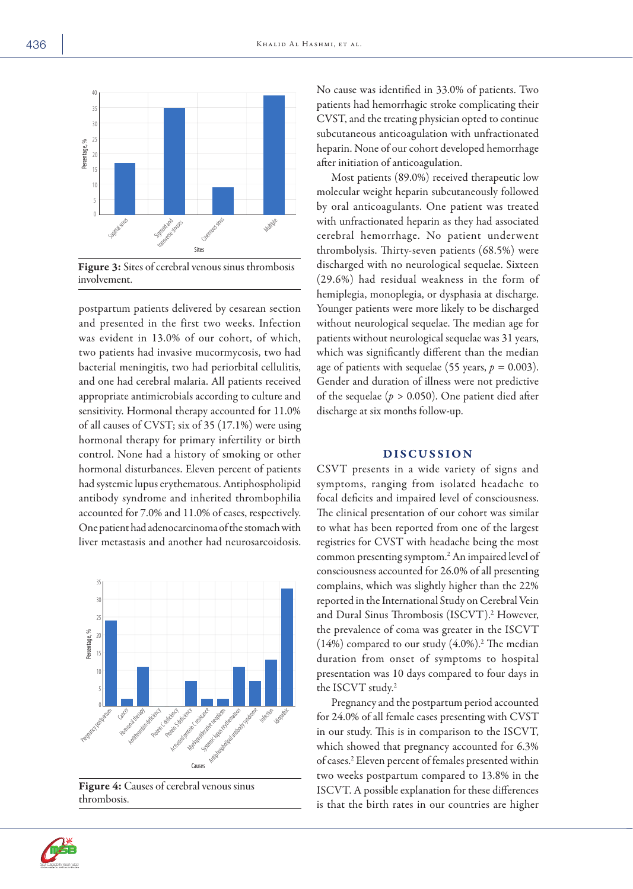

Figure 3: Sites of cerebral venous sinus thrombosis involvement.

postpartum patients delivered by cesarean section and presented in the first two weeks. Infection was evident in 13.0% of our cohort, of which, two patients had invasive mucormycosis, two had bacterial meningitis, two had periorbital cellulitis, and one had cerebral malaria. All patients received appropriate antimicrobials according to culture and sensitivity. Hormonal therapy accounted for 11.0% of all causes of CVST; six of 35 (17.1%) were using hormonal therapy for primary infertility or birth control. None had a history of smoking or other hormonal disturbances. Eleven percent of patients had systemic lupus erythematous. Antiphospholipid antibody syndrome and inherited thrombophilia accounted for 7.0% and 11.0% of cases, respectively. One patient had adenocarcinoma of the stomach with liver metastasis and another had neurosarcoidosis.



Figure 4: Causes of cerebral venous sinus thrombosis.

No cause was identified in 33.0% of patients. Two patients had hemorrhagic stroke complicating their CVST, and the treating physician opted to continue subcutaneous anticoagulation with unfractionated heparin. None of our cohort developed hemorrhage after initiation of anticoagulation.

Most patients (89.0%) received therapeutic low molecular weight heparin subcutaneously followed by oral anticoagulants. One patient was treated with unfractionated heparin as they had associated cerebral hemorrhage. No patient underwent thrombolysis. Thirty-seven patients (68.5%) were discharged with no neurological sequelae. Sixteen (29.6%) had residual weakness in the form of hemiplegia, monoplegia, or dysphasia at discharge. Younger patients were more likely to be discharged without neurological sequelae. The median age for patients without neurological sequelae was 31 years, which was significantly different than the median age of patients with sequelae (55 years,  $p = 0.003$ ). Gender and duration of illness were not predictive of the sequelae (*p >* 0.050). One patient died after discharge at six months follow-up.

# DISCUSSION

CSVT presents in a wide variety of signs and symptoms, ranging from isolated headache to focal deficits and impaired level of consciousness. The clinical presentation of our cohort was similar to what has been reported from one of the largest registries for CVST with headache being the most common presenting symptom.2An impaired level of consciousness accounted for 26.0% of all presenting complains, which was slightly higher than the 22% reported in the International Study on Cerebral Vein and Dural Sinus Thrombosis (ISCVT).<sup>2</sup> However, the prevalence of coma was greater in the ISCVT  $(14%)$  compared to our study  $(4.0\%)$ .<sup>2</sup> The median duration from onset of symptoms to hospital presentation was 10 days compared to four days in the ISCVT study.2

Pregnancy and the postpartum period accounted for 24.0% of all female cases presenting with CVST in our study. This is in comparison to the ISCVT, which showed that pregnancy accounted for 6.3% of cases.2 Eleven percent of females presented within two weeks postpartum compared to 13.8% in the ISCVT. A possible explanation for these differences is that the birth rates in our countries are higher